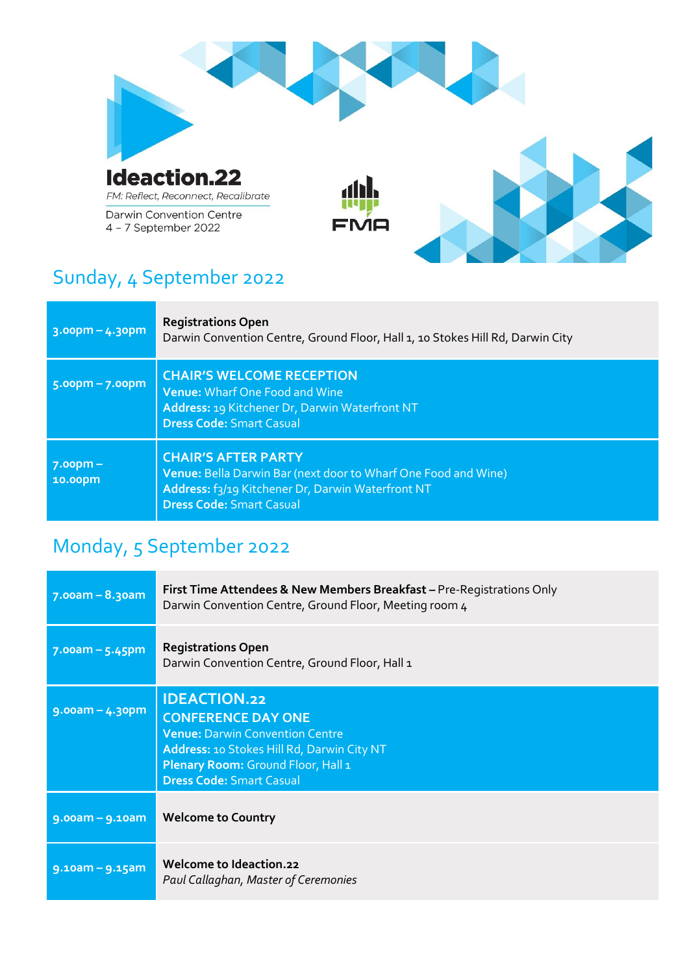

# Sunday, 4 September 2022

| $3.00pm - 4.3pm$             | <b>Registrations Open</b><br>Darwin Convention Centre, Ground Floor, Hall 1, 10 Stokes Hill Rd, Darwin City                                                                          |
|------------------------------|--------------------------------------------------------------------------------------------------------------------------------------------------------------------------------------|
| $5.00$ pm – 7.00pm           | <b>CHAIR'S WELCOME RECEPTION</b><br>Venue: Wharf One Food and Wine<br>Address: 19 Kitchener Dr, Darwin Waterfront NT<br><b>Dress Code: Smart Casual</b>                              |
| <u> 7.00pm – </u><br>10.00pm | <b>CHAIR'S AFTER PARTY</b><br>Venue: Bella Darwin Bar (next door to Wharf One Food and Wine)<br>Address: f3/19 Kitchener Dr, Darwin Waterfront NT<br><b>Dress Code: Smart Casual</b> |

# Monday, 5 September 2022

| $7.00am - 8.30am$  | First Time Attendees & New Members Breakfast – Pre-Registrations Only<br>Darwin Convention Centre, Ground Floor, Meeting room 4                                                                                   |
|--------------------|-------------------------------------------------------------------------------------------------------------------------------------------------------------------------------------------------------------------|
| $7.00$ am – 5.45pm | <b>Registrations Open</b><br>Darwin Convention Centre, Ground Floor, Hall 1                                                                                                                                       |
| $9.00$ am – 4.30pm | <b>IDEACTION.22</b><br><b>CONFERENCE DAY ONE</b><br><b>Venue: Darwin Convention Centre</b><br>Address: 10 Stokes Hill Rd, Darwin City NT<br>Plenary Room: Ground Floor, Hall 1<br><b>Dress Code: Smart Casual</b> |
| $9.00am - 9.10am$  | <b>Welcome to Country</b>                                                                                                                                                                                         |
| 9.10am - 9.15am    | Welcome to Ideaction.22<br>Paul Callaghan, Master of Ceremonies                                                                                                                                                   |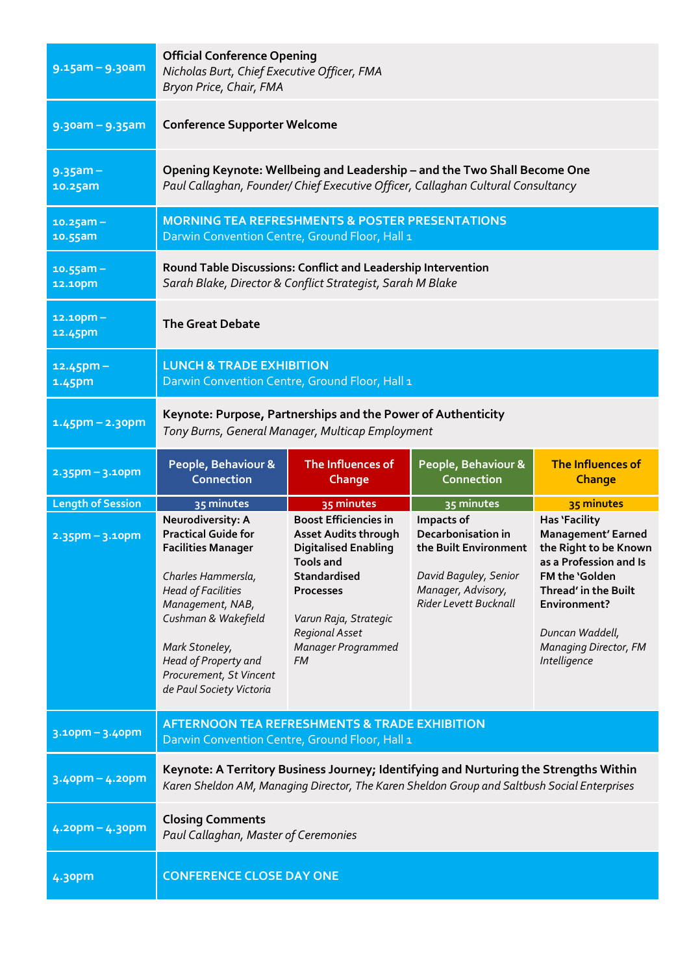| $9.15$ am - $9.3$ oam    | <b>Official Conference Opening</b><br>Nicholas Burt, Chief Executive Officer, FMA<br>Bryon Price, Chair, FMA                                                                                                                                                                |                                                                                                                                                                                                                           |                                                                                                                                          |                                                                                                                                                                                                                            |
|--------------------------|-----------------------------------------------------------------------------------------------------------------------------------------------------------------------------------------------------------------------------------------------------------------------------|---------------------------------------------------------------------------------------------------------------------------------------------------------------------------------------------------------------------------|------------------------------------------------------------------------------------------------------------------------------------------|----------------------------------------------------------------------------------------------------------------------------------------------------------------------------------------------------------------------------|
| $9.30$ am - $9.35$ am    | <b>Conference Supporter Welcome</b>                                                                                                                                                                                                                                         |                                                                                                                                                                                                                           |                                                                                                                                          |                                                                                                                                                                                                                            |
| $9.35$ am -<br>10.25am   | Opening Keynote: Wellbeing and Leadership - and the Two Shall Become One<br>Paul Callaghan, Founder/ Chief Executive Officer, Callaghan Cultural Consultancy                                                                                                                |                                                                                                                                                                                                                           |                                                                                                                                          |                                                                                                                                                                                                                            |
| $10.25$ am -<br>10.55am  | <b>MORNING TEA REFRESHMENTS &amp; POSTER PRESENTATIONS</b><br>Darwin Convention Centre, Ground Floor, Hall 1                                                                                                                                                                |                                                                                                                                                                                                                           |                                                                                                                                          |                                                                                                                                                                                                                            |
| $10.55$ am -<br>12.10pm  | Round Table Discussions: Conflict and Leadership Intervention<br>Sarah Blake, Director & Conflict Strategist, Sarah M Blake                                                                                                                                                 |                                                                                                                                                                                                                           |                                                                                                                                          |                                                                                                                                                                                                                            |
| $12.10$ pm -<br>12.45pm  | <b>The Great Debate</b>                                                                                                                                                                                                                                                     |                                                                                                                                                                                                                           |                                                                                                                                          |                                                                                                                                                                                                                            |
| $12.45$ pm -<br>1.45pm   | <b>LUNCH &amp; TRADE EXHIBITION</b><br>Darwin Convention Centre, Ground Floor, Hall 1                                                                                                                                                                                       |                                                                                                                                                                                                                           |                                                                                                                                          |                                                                                                                                                                                                                            |
| $1.45$ pm – 2.30pm       | Keynote: Purpose, Partnerships and the Power of Authenticity<br>Tony Burns, General Manager, Multicap Employment                                                                                                                                                            |                                                                                                                                                                                                                           |                                                                                                                                          |                                                                                                                                                                                                                            |
| $2.35$ pm - $3.10$ pm    | People, Behaviour &<br><b>Connection</b>                                                                                                                                                                                                                                    | The Influences of<br>Change                                                                                                                                                                                               | People, Behaviour &<br><b>Connection</b>                                                                                                 | The Influences of<br><b>Change</b>                                                                                                                                                                                         |
| <b>Length of Session</b> | 35 minutes                                                                                                                                                                                                                                                                  | 35 minutes                                                                                                                                                                                                                | 35 minutes                                                                                                                               | 35 minutes                                                                                                                                                                                                                 |
| $2.35$ pm - 3.10pm       | Neurodiversity: A<br><b>Practical Guide for</b><br><b>Facilities Manager</b><br>Charles Hammersla,<br><b>Head of Facilities</b><br>Management, NAB,<br>Cushman & Wakefield<br>Mark Stoneley,<br>Head of Property and<br>Procurement, St Vincent<br>de Paul Society Victoria | <b>Boost Efficiencies in</b><br><b>Asset Audits through</b><br><b>Digitalised Enabling</b><br>Tools and<br>Standardised<br><b>Processes</b><br>Varun Raja, Strategic<br>Regional Asset<br>Manager Programmed<br><b>FM</b> | Impacts of<br>Decarbonisation in<br>the Built Environment<br>David Baguley, Senior<br>Manager, Advisory,<br><b>Rider Levett Bucknall</b> | <b>Has 'Facility</b><br>Management' Earned<br>the Right to be Known<br>as a Profession and Is<br>FM the 'Golden<br>Thread' in the Built<br>Environment?<br>Duncan Waddell,<br><b>Managing Director, FM</b><br>Intelligence |
| $3.10$ pm - $3.40$ pm    | <b>AFTERNOON TEA REFRESHMENTS &amp; TRADE EXHIBITION</b><br>Darwin Convention Centre, Ground Floor, Hall 1                                                                                                                                                                  |                                                                                                                                                                                                                           |                                                                                                                                          |                                                                                                                                                                                                                            |
| $3.4$ opm – 4.20pm       | Keynote: A Territory Business Journey; Identifying and Nurturing the Strengths Within<br>Karen Sheldon AM, Managing Director, The Karen Sheldon Group and Saltbush Social Enterprises                                                                                       |                                                                                                                                                                                                                           |                                                                                                                                          |                                                                                                                                                                                                                            |
| $4.2$ opm – $4.3$ opm    | <b>Closing Comments</b><br>Paul Callaghan, Master of Ceremonies                                                                                                                                                                                                             |                                                                                                                                                                                                                           |                                                                                                                                          |                                                                                                                                                                                                                            |
| 4.30pm                   | <b>CONFERENCE CLOSE DAY ONE</b>                                                                                                                                                                                                                                             |                                                                                                                                                                                                                           |                                                                                                                                          |                                                                                                                                                                                                                            |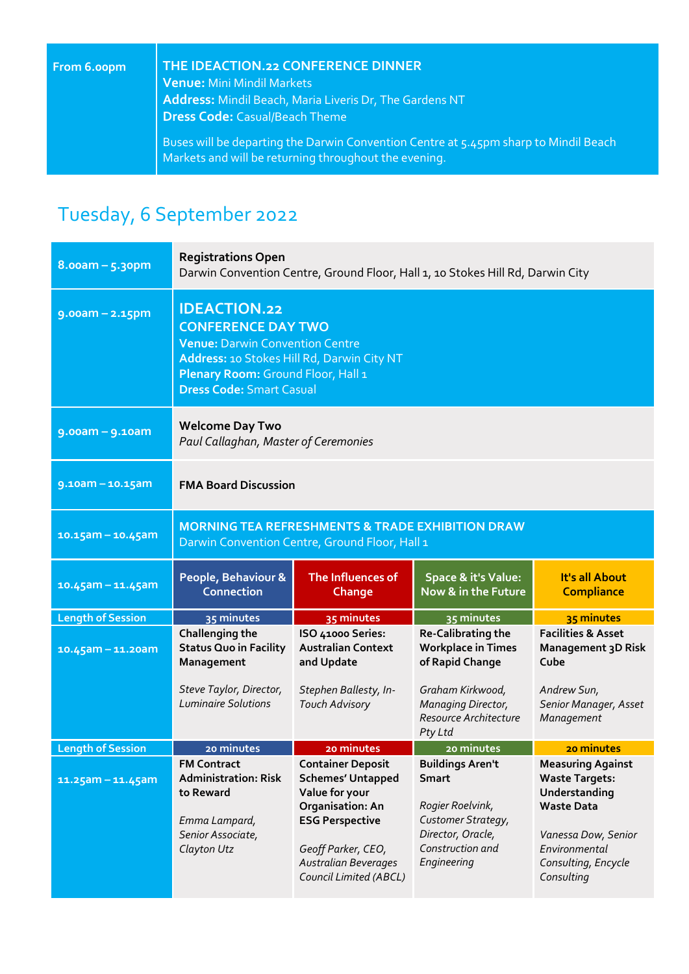| From 6.00pm | THE IDEACTION.22 CONFERENCE DINNER                                                                                                            |
|-------------|-----------------------------------------------------------------------------------------------------------------------------------------------|
|             | <b>Venue: Mini Mindil Markets</b>                                                                                                             |
|             | Address: Mindil Beach, Maria Liveris Dr, The Gardens NT                                                                                       |
|             | <b>Dress Code: Casual/Beach Theme</b>                                                                                                         |
|             | Buses will be departing the Darwin Convention Centre at 5.45pm sharp to Mindil Beach<br>Markets and will be returning throughout the evening. |

# Tuesday, 6 September 2022

| $8.00am - 5.3opm$        | <b>Registrations Open</b><br>Darwin Convention Centre, Ground Floor, Hall 1, 10 Stokes Hill Rd, Darwin City                                                                                                       |                                                                                                                                                                                                     |                                                                                                                                    |                                                                                                                                                                      |
|--------------------------|-------------------------------------------------------------------------------------------------------------------------------------------------------------------------------------------------------------------|-----------------------------------------------------------------------------------------------------------------------------------------------------------------------------------------------------|------------------------------------------------------------------------------------------------------------------------------------|----------------------------------------------------------------------------------------------------------------------------------------------------------------------|
| $9.00am - 2.15pm$        | <b>IDEACTION.22</b><br><b>CONFERENCE DAY TWO</b><br><b>Venue: Darwin Convention Centre</b><br>Address: 10 Stokes Hill Rd, Darwin City NT<br>Plenary Room: Ground Floor, Hall 1<br><b>Dress Code: Smart Casual</b> |                                                                                                                                                                                                     |                                                                                                                                    |                                                                                                                                                                      |
| $9.00am - 9.10am$        | <b>Welcome Day Two</b><br>Paul Callaghan, Master of Ceremonies                                                                                                                                                    |                                                                                                                                                                                                     |                                                                                                                                    |                                                                                                                                                                      |
| $9.10am - 10.15am$       | <b>FMA Board Discussion</b>                                                                                                                                                                                       |                                                                                                                                                                                                     |                                                                                                                                    |                                                                                                                                                                      |
| $10.15$ am - 10.45am     | <b>MORNING TEA REFRESHMENTS &amp; TRADE EXHIBITION DRAW</b><br>Darwin Convention Centre, Ground Floor, Hall 1                                                                                                     |                                                                                                                                                                                                     |                                                                                                                                    |                                                                                                                                                                      |
| $10.45$ am - 11.45am     | People, Behaviour &<br><b>Connection</b>                                                                                                                                                                          | The Influences of<br>Change                                                                                                                                                                         | <b>Space &amp; it's Value:</b><br>Now & in the Future                                                                              | It's all About<br><b>Compliance</b>                                                                                                                                  |
| <b>Length of Session</b> | 35 minutes                                                                                                                                                                                                        | 35 minutes                                                                                                                                                                                          | 35 minutes                                                                                                                         | 35 minutes                                                                                                                                                           |
| $10.45$ am - 11.20am     | Challenging the<br><b>Status Quo in Facility</b><br>Management                                                                                                                                                    | ISO 41000 Series:<br><b>Australian Context</b><br>and Update                                                                                                                                        | Re-Calibrating the<br><b>Workplace in Times</b><br>of Rapid Change                                                                 | <b>Facilities &amp; Asset</b><br><b>Management 3D Risk</b><br>Cube                                                                                                   |
|                          | Steve Taylor, Director,<br><b>Luminaire Solutions</b>                                                                                                                                                             | Stephen Ballesty, In-<br><b>Touch Advisory</b>                                                                                                                                                      | Graham Kirkwood,<br>Managing Director,<br>Resource Architecture<br>Pty Ltd                                                         | Andrew Sun,<br>Senior Manager, Asset<br>Management                                                                                                                   |
| <b>Length of Session</b> | 20 minutes                                                                                                                                                                                                        | 20 minutes                                                                                                                                                                                          | 20 minutes                                                                                                                         | 20 minutes                                                                                                                                                           |
| $11.25$ am - 11.45am     | <b>FM Contract</b><br><b>Administration: Risk</b><br>to Reward<br>Emma Lampard,<br>Senior Associate,<br>Clayton Utz                                                                                               | <b>Container Deposit</b><br><b>Schemes' Untapped</b><br>Value for your<br>Organisation: An<br><b>ESG Perspective</b><br>Geoff Parker, CEO,<br><b>Australian Beverages</b><br>Council Limited (ABCL) | <b>Buildings Aren't</b><br>Smart<br>Rogier Roelvink,<br>Customer Strategy,<br>Director, Oracle,<br>Construction and<br>Engineering | <b>Measuring Against</b><br><b>Waste Targets:</b><br>Understanding<br><b>Waste Data</b><br>Vanessa Dow, Senior<br>Environmental<br>Consulting, Encycle<br>Consulting |
|                          |                                                                                                                                                                                                                   |                                                                                                                                                                                                     |                                                                                                                                    |                                                                                                                                                                      |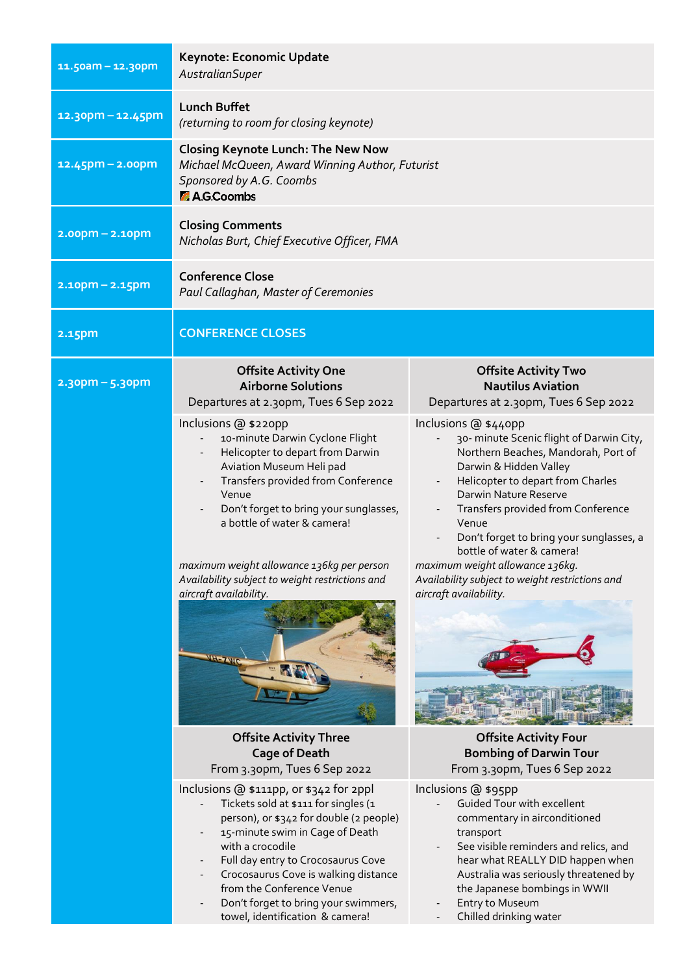| $11.50$ am - 12.30pm  | Keynote: Economic Update<br>AustralianSuper                                                                                                                                                                                                                                                                                                                                                                                                                                                    |                                                                                                                                                                                                                                                                                                                                                                                                                                                                                                                                             |  |
|-----------------------|------------------------------------------------------------------------------------------------------------------------------------------------------------------------------------------------------------------------------------------------------------------------------------------------------------------------------------------------------------------------------------------------------------------------------------------------------------------------------------------------|---------------------------------------------------------------------------------------------------------------------------------------------------------------------------------------------------------------------------------------------------------------------------------------------------------------------------------------------------------------------------------------------------------------------------------------------------------------------------------------------------------------------------------------------|--|
| $12.3$ opm – 12.45pm  | <b>Lunch Buffet</b><br>(returning to room for closing keynote)                                                                                                                                                                                                                                                                                                                                                                                                                                 |                                                                                                                                                                                                                                                                                                                                                                                                                                                                                                                                             |  |
| $12.45$ pm – 2.00pm   | <b>Closing Keynote Lunch: The New Now</b><br>Michael McQueen, Award Winning Author, Futurist<br>Sponsored by A.G. Coombs<br><b>A.G.Coombs</b>                                                                                                                                                                                                                                                                                                                                                  |                                                                                                                                                                                                                                                                                                                                                                                                                                                                                                                                             |  |
| $2.00$ pm – $2.10$ pm | <b>Closing Comments</b><br>Nicholas Burt, Chief Executive Officer, FMA                                                                                                                                                                                                                                                                                                                                                                                                                         |                                                                                                                                                                                                                                                                                                                                                                                                                                                                                                                                             |  |
| $2.10$ pm – 2.15pm    | <b>Conference Close</b><br>Paul Callaghan, Master of Ceremonies                                                                                                                                                                                                                                                                                                                                                                                                                                |                                                                                                                                                                                                                                                                                                                                                                                                                                                                                                                                             |  |
| 2.15pm                | <b>CONFERENCE CLOSES</b>                                                                                                                                                                                                                                                                                                                                                                                                                                                                       |                                                                                                                                                                                                                                                                                                                                                                                                                                                                                                                                             |  |
| $2.3$ opm – 5.30pm    | <b>Offsite Activity One</b><br><b>Airborne Solutions</b><br>Departures at 2.30pm, Tues 6 Sep 2022<br>Inclusions @ \$220pp<br>10-minute Darwin Cyclone Flight<br>Helicopter to depart from Darwin<br>Aviation Museum Heli pad<br>Transfers provided from Conference<br>Venue<br>Don't forget to bring your sunglasses,<br>a bottle of water & camera!<br>maximum weight allowance 136kg per person<br>Availability subject to weight restrictions and<br>aircraft availability.<br><b>H-ZWC</b> | <b>Offsite Activity Two</b><br><b>Nautilus Aviation</b><br>Departures at 2.30pm, Tues 6 Sep 2022<br>Inclusions @ \$440pp<br>30- minute Scenic flight of Darwin City,<br>Northern Beaches, Mandorah, Port of<br>Darwin & Hidden Valley<br>Helicopter to depart from Charles<br>Darwin Nature Reserve<br>Transfers provided from Conference<br>Venue<br>Don't forget to bring your sunglasses, a<br>bottle of water & camera!<br>maximum weight allowance 136kg.<br>Availability subject to weight restrictions and<br>aircraft availability. |  |
|                       | <b>Offsite Activity Three</b><br><b>Cage of Death</b><br>From 3.30pm, Tues 6 Sep 2022<br>Inclusions @ \$111pp, or \$342 for 2ppl<br>Tickets sold at \$111 for singles (1<br>person), or \$342 for double (2 people)<br>15-minute swim in Cage of Death<br>with a crocodile<br>Full day entry to Crocosaurus Cove<br>Crocosaurus Cove is walking distance<br>from the Conference Venue<br>Don't forget to bring your swimmers,<br>towel, identification & camera!                               | <b>Offsite Activity Four</b><br><b>Bombing of Darwin Tour</b><br>From 3.30pm, Tues 6 Sep 2022<br>Inclusions @ \$95pp<br>Guided Tour with excellent<br>commentary in airconditioned<br>transport<br>See visible reminders and relics, and<br>hear what REALLY DID happen when<br>Australia was seriously threatened by<br>the Japanese bombings in WWII<br>Entry to Museum<br>Chilled drinking water                                                                                                                                         |  |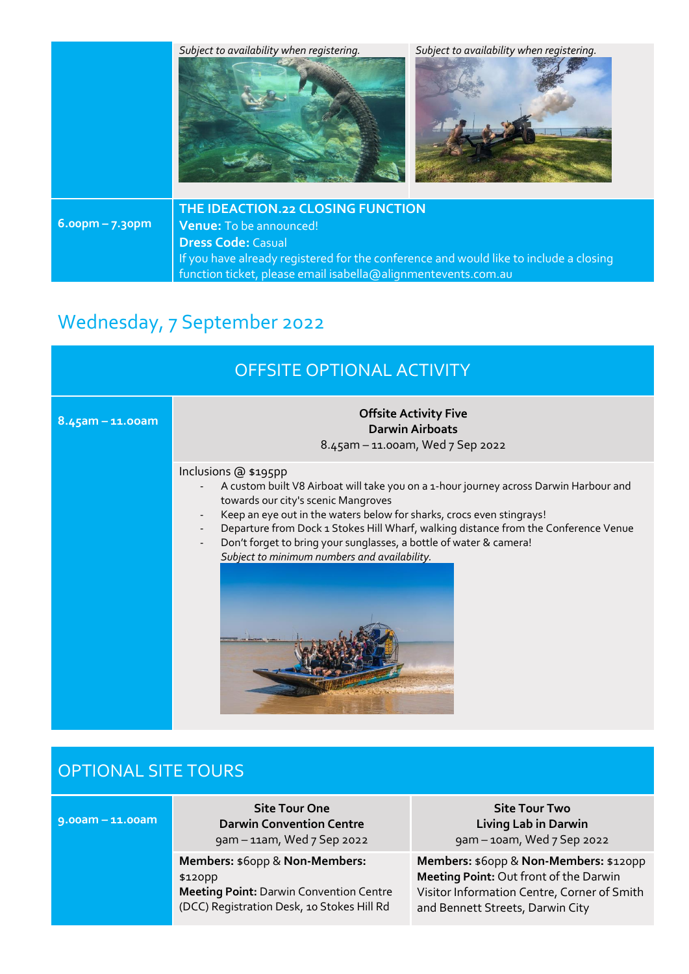

# Wednesday, 7 September 2022

| OFFSITE OPTIONAL ACTIVITY |                                                                                                                                                                                                                                                                                                                                                                                                                                            |  |  |
|---------------------------|--------------------------------------------------------------------------------------------------------------------------------------------------------------------------------------------------------------------------------------------------------------------------------------------------------------------------------------------------------------------------------------------------------------------------------------------|--|--|
| $8.45$ am - 11.00am       | <b>Offsite Activity Five</b><br><b>Darwin Airboats</b><br>8.45am - 11.00am, Wed 7 Sep 2022                                                                                                                                                                                                                                                                                                                                                 |  |  |
|                           | Inclusions @ \$195pp<br>A custom built V8 Airboat will take you on a 1-hour journey across Darwin Harbour and<br>towards our city's scenic Mangroves<br>Keep an eye out in the waters below for sharks, crocs even stingrays!<br>Departure from Dock 1 Stokes Hill Wharf, walking distance from the Conference Venue<br>Don't forget to bring your sunglasses, a bottle of water & camera!<br>Subject to minimum numbers and availability. |  |  |

| <b>OPTIONAL SITE TOURS</b> |                                                                                                                                           |                                                                                                                                                                     |  |
|----------------------------|-------------------------------------------------------------------------------------------------------------------------------------------|---------------------------------------------------------------------------------------------------------------------------------------------------------------------|--|
| $9.00am - 11.00am$         | <b>Site Tour One</b><br><b>Darwin Convention Centre</b><br>gam - 11am, Wed 7 Sep 2022                                                     | <b>Site Tour Two</b><br><b>Living Lab in Darwin</b><br>9am - 10am, Wed 7 Sep 2022                                                                                   |  |
|                            | Members: \$60pp & Non-Members:<br>\$120pp<br><b>Meeting Point: Darwin Convention Centre</b><br>(DCC) Registration Desk, 10 Stokes Hill Rd | Members: \$60pp & Non-Members: \$120pp<br>Meeting Point: Out front of the Darwin<br>Visitor Information Centre, Corner of Smith<br>and Bennett Streets, Darwin City |  |